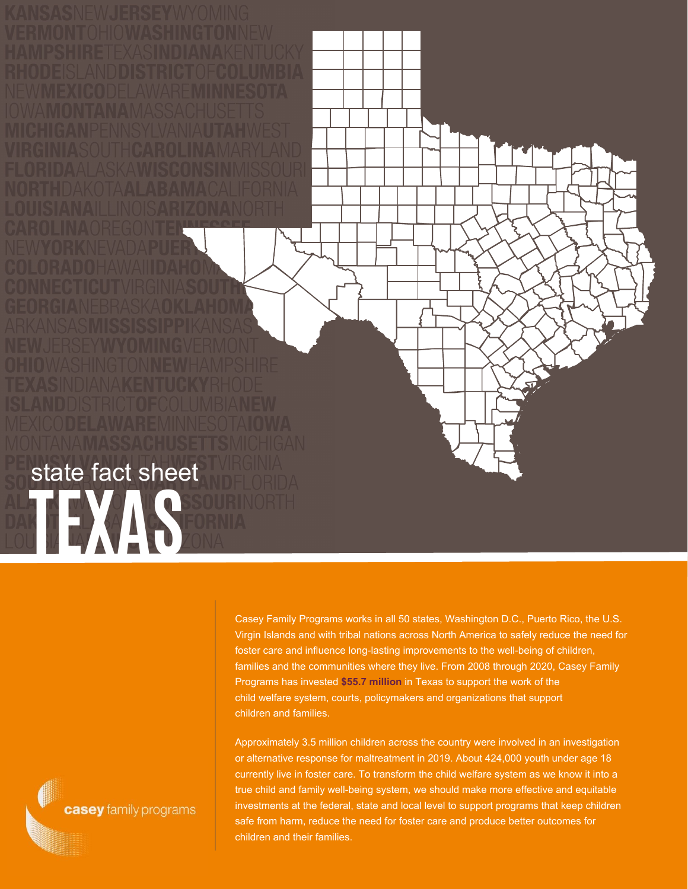Casey Family Programs works in all 50 states, Washington D.C., Puerto Rico, the U.S. Virgin Islands and with tribal nations across North America to safely reduce the need for foster care and influence long-lasting improvements to the well-being of children, families and the communities where they live. From 2008 through 2020, Casey Family Programs has invested **\$55.7 million** in Texas to support the work of the child welfare system, courts, policymakers and organizations that support children and families.

Approximately 3.5 million children across the country were involved in an investigation or alternative response for maltreatment in 2019. About 424,000 youth under age 18 currently live in foster care. To transform the child welfare system as we know it into a true child and family well-being system, we should make more effective and equitable investments at the federal, state and local level to support programs that keep children safe from harm, reduce the need for foster care and produce better outcomes for children and their families.

casey family programs

**TEXAS**SOURI

state fact sheet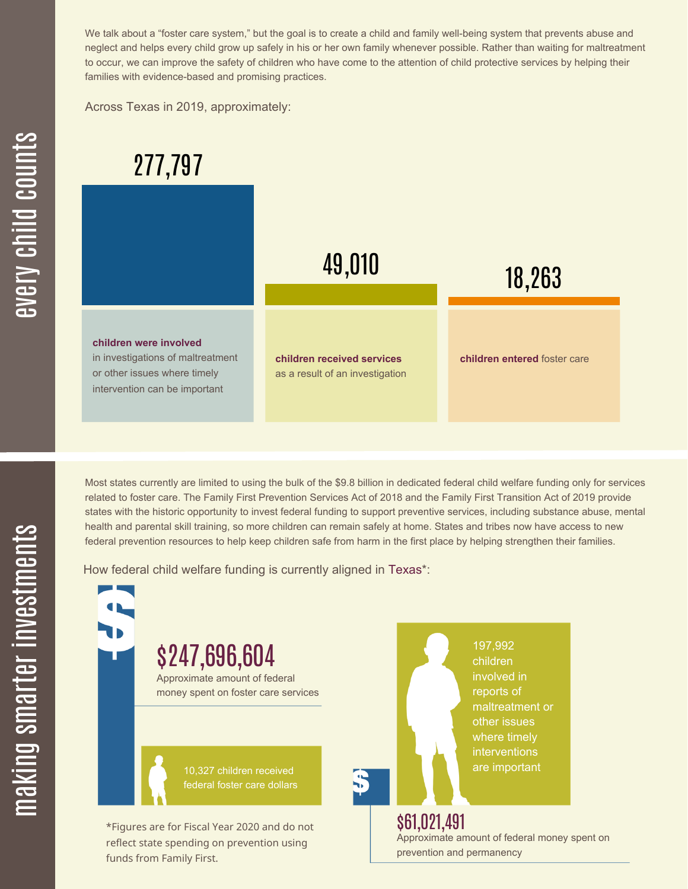We talk about a "foster care system," but the goal is to create a child and family well-being system that prevents abuse and neglect and helps every child grow up safely in his or her own family whenever possible. Rather than waiting for maltreatment to occur, we can improve the safety of children who have come to the attention of child protective services by helping their families with evidence-based and promising practices.

Across Texas in 2019, approximately:



Most states currently are limited to using the bulk of the \$9.8 billion in dedicated federal child welfare funding only for services related to foster care. The Family First Prevention Services Act of 2018 and the Family First Transition Act of 2019 provide states with the historic opportunity to invest federal funding to support preventive services, including substance abuse, mental health and parental skill training, so more children can remain safely at home. States and tribes now have access to new federal prevention resources to help keep children safe from harm in the first place by helping strengthen their families.

How federal child welfare funding is currently aligned in Texas\*:

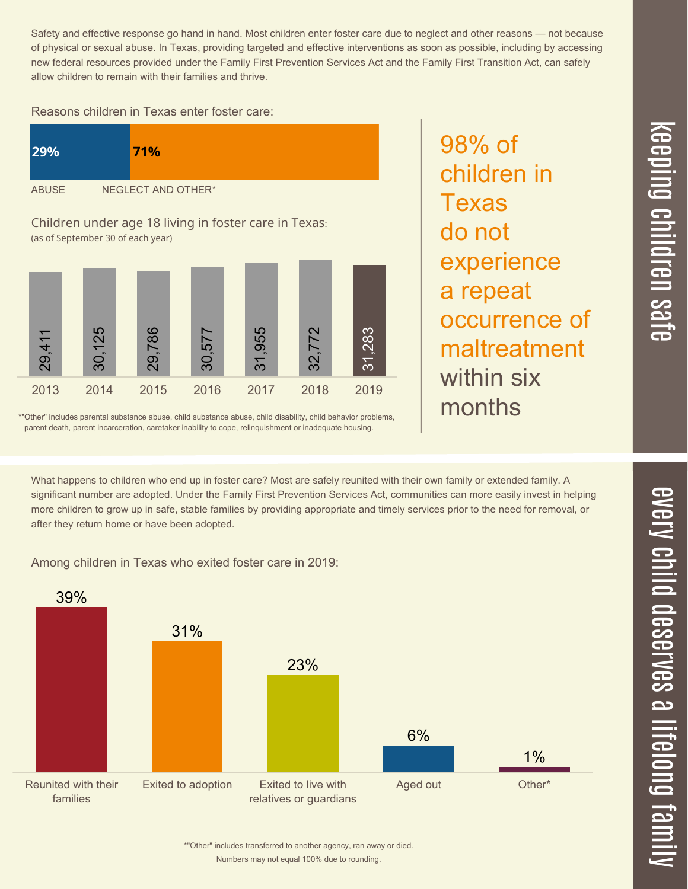$\overline{\phantom{1}}$  $\overline{\mathbf \Theta}$  $\overline{\mathbf{C}}$ <u>pin</u>  $\overline{\mathbf{C}}$  $\overline{\mathbf{C}}$  $\equiv$  $\overline{\mathbf{c}}$  $\overline{\phantom{0}}$  $\boldsymbol{\mathcal{O}}$ a  $\overrightarrow{\mathbf{e}}$ 

Safety and effective response go hand in hand. Most children enter foster care due to neglect and other reasons — not because of physical or sexual abuse. In Texas, providing targeted and effective interventions as soon as possible, including by accessing new federal resources provided under the Family First Prevention Services Act and the Family First Transition Act, can safely allow children to remain with their families and thrive.

## Reasons children in Texas enter foster care:





98% of

Texas

do not

children in

\*"Other" includes parental substance abuse, child substance abuse, child disability, child behavior problems, parent death, parent incarceration, caretaker inability to cope, relinquishment or inadequate housing.

What happens to children who end up in foster care? Most are safely reunited with their own family or extended family. A significant number are adopted. Under the Family First Prevention Services Act, communities can more easily invest in helping more children to grow up in safe, stable families by providing appropriate and timely services prior to the need for removal, or after they return home or have been adopted.

Among children in Texas who exited foster care in 2019:



Numbers may not equal 100% due to rounding. \*"Other" includes transferred to another agency, ran away or died.  $\overline{\mathsf{Z}}$  $\overline{\mathbf{C}}$  $\equiv$  $\blacksquare$ e  $\boldsymbol{\mathcal{C}}$  $\overline{\mathbf{C}}$  $\overline{\phantom{a}}$  $\overline{\mathbf{C}}$  $\mathcal{C}$ <u>م</u>  $\equiv$ el<br>O  $\overline{\phantom{0}}$  $\blacksquare$ t<br>B mily

 $\overline{\mathbf{C}}$  $\leq$  $\overline{\mathbf{C}}$